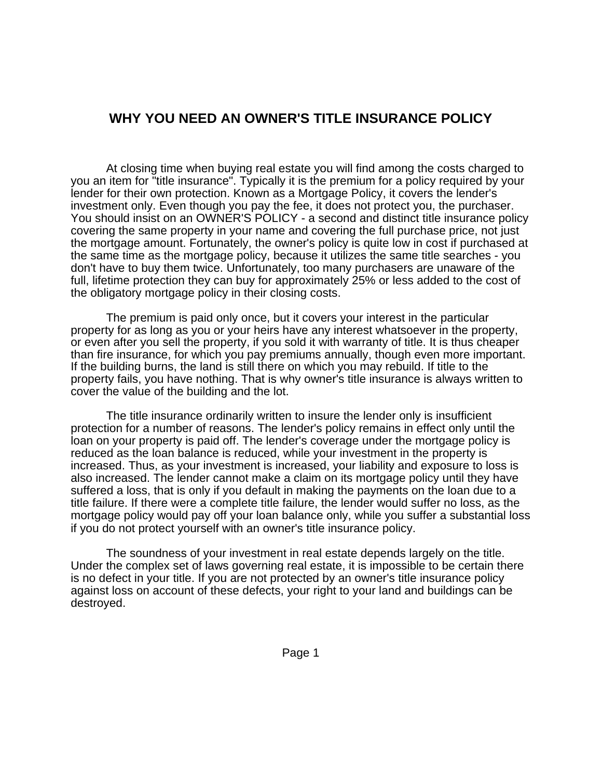## **WHY YOU NEED AN OWNER'S TITLE INSURANCE POLICY**

At closing time when buying real estate you will find among the costs charged to you an item for "title insurance". Typically it is the premium for a policy required by your lender for their own protection. Known as a Mortgage Policy, it covers the lender's investment only. Even though you pay the fee, it does not protect you, the purchaser. You should insist on an OWNER'S POLICY - a second and distinct title insurance policy covering the same property in your name and covering the full purchase price, not just the mortgage amount. Fortunately, the owner's policy is quite low in cost if purchased at the same time as the mortgage policy, because it utilizes the same title searches - you don't have to buy them twice. Unfortunately, too many purchasers are unaware of the full, lifetime protection they can buy for approximately 25% or less added to the cost of the obligatory mortgage policy in their closing costs.

The premium is paid only once, but it covers your interest in the particular property for as long as you or your heirs have any interest whatsoever in the property, or even after you sell the property, if you sold it with warranty of title. It is thus cheaper than fire insurance, for which you pay premiums annually, though even more important. If the building burns, the land is still there on which you may rebuild. If title to the property fails, you have nothing. That is why owner's title insurance is always written to cover the value of the building and the lot.

The title insurance ordinarily written to insure the lender only is insufficient protection for a number of reasons. The lender's policy remains in effect only until the loan on your property is paid off. The lender's coverage under the mortgage policy is reduced as the loan balance is reduced, while your investment in the property is increased. Thus, as your investment is increased, your liability and exposure to loss is also increased. The lender cannot make a claim on its mortgage policy until they have suffered a loss, that is only if you default in making the payments on the loan due to a title failure. If there were a complete title failure, the lender would suffer no loss, as the mortgage policy would pay off your loan balance only, while you suffer a substantial loss if you do not protect yourself with an owner's title insurance policy.

The soundness of your investment in real estate depends largely on the title. Under the complex set of laws governing real estate, it is impossible to be certain there is no defect in your title. If you are not protected by an owner's title insurance policy against loss on account of these defects, your right to your land and buildings can be destroyed.